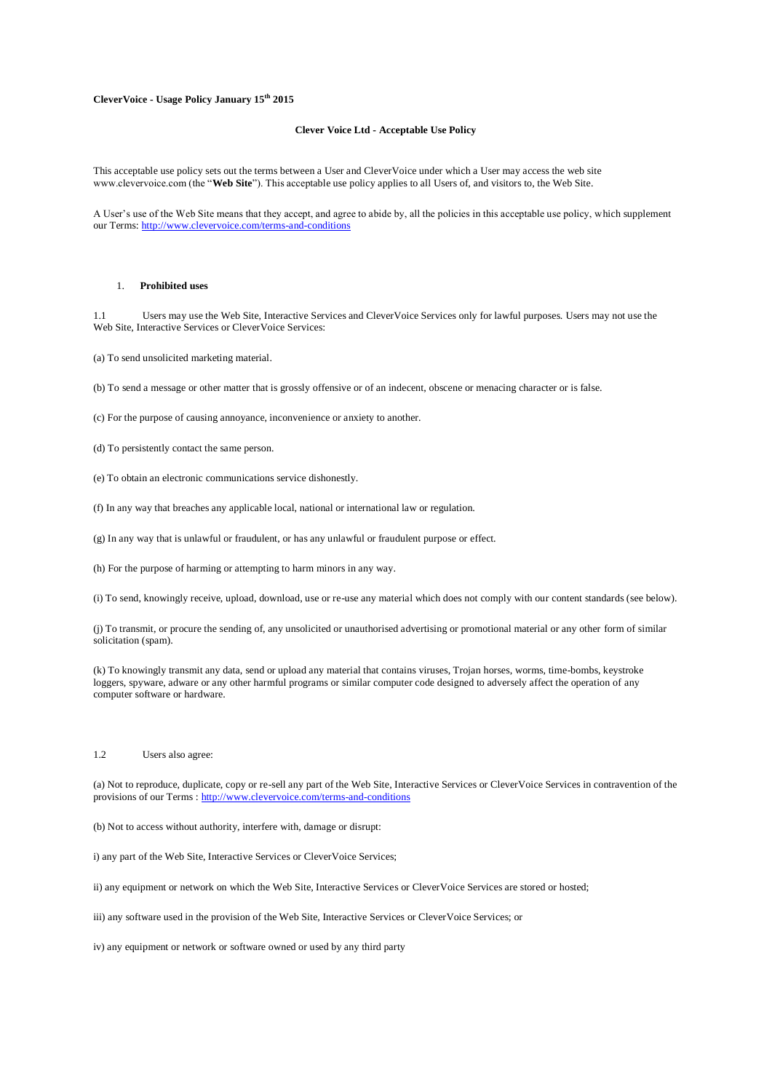## **CleverVoice - Usage Policy January 15th 2015**

#### **Clever Voice Ltd - Acceptable Use Policy**

This acceptable use policy sets out the terms between a User and CleverVoice under which a User may access the web site www.clevervoice.com (the "**Web Site**"). This acceptable use policy applies to all Users of, and visitors to, the Web Site.

A User's use of the Web Site means that they accept, and agree to abide by, all the policies in this acceptable use policy, which supplement our Terms[: http://www.clevervoice.com/terms-and-conditions](http://www.clevervoice.com/terms-and-conditions)

#### 1. **Prohibited uses**

1.1 Users may use the Web Site, Interactive Services and CleverVoice Services only for lawful purposes. Users may not use the Web Site, Interactive Services or CleverVoice Services:

(a) To send unsolicited marketing material.

(b) To send a message or other matter that is grossly offensive or of an indecent, obscene or menacing character or is false.

(c) For the purpose of causing annoyance, inconvenience or anxiety to another.

(d) To persistently contact the same person.

(e) To obtain an electronic communications service dishonestly.

(f) In any way that breaches any applicable local, national or international law or regulation.

(g) In any way that is unlawful or fraudulent, or has any unlawful or fraudulent purpose or effect.

(h) For the purpose of harming or attempting to harm minors in any way.

(i) To send, knowingly receive, upload, download, use or re-use any material which does not comply with our content standards (see below).

(j) To transmit, or procure the sending of, any unsolicited or unauthorised advertising or promotional material or any other form of similar solicitation (spam).

(k) To knowingly transmit any data, send or upload any material that contains viruses, Trojan horses, worms, time-bombs, keystroke loggers, spyware, adware or any other harmful programs or similar computer code designed to adversely affect the operation of any computer software or hardware.

## 1.2 Users also agree:

(a) Not to reproduce, duplicate, copy or re-sell any part of the Web Site, Interactive Services or CleverVoice Services in contravention of the provisions of our Terms [: http://www.clevervoice.com/terms-and-conditions](http://www.clevervoice.com/terms-and-conditions)

(b) Not to access without authority, interfere with, damage or disrupt:

i) any part of the Web Site, Interactive Services or CleverVoice Services;

ii) any equipment or network on which the Web Site, Interactive Services or CleverVoice Services are stored or hosted;

iii) any software used in the provision of the Web Site, Interactive Services or CleverVoice Services; or

iv) any equipment or network or software owned or used by any third party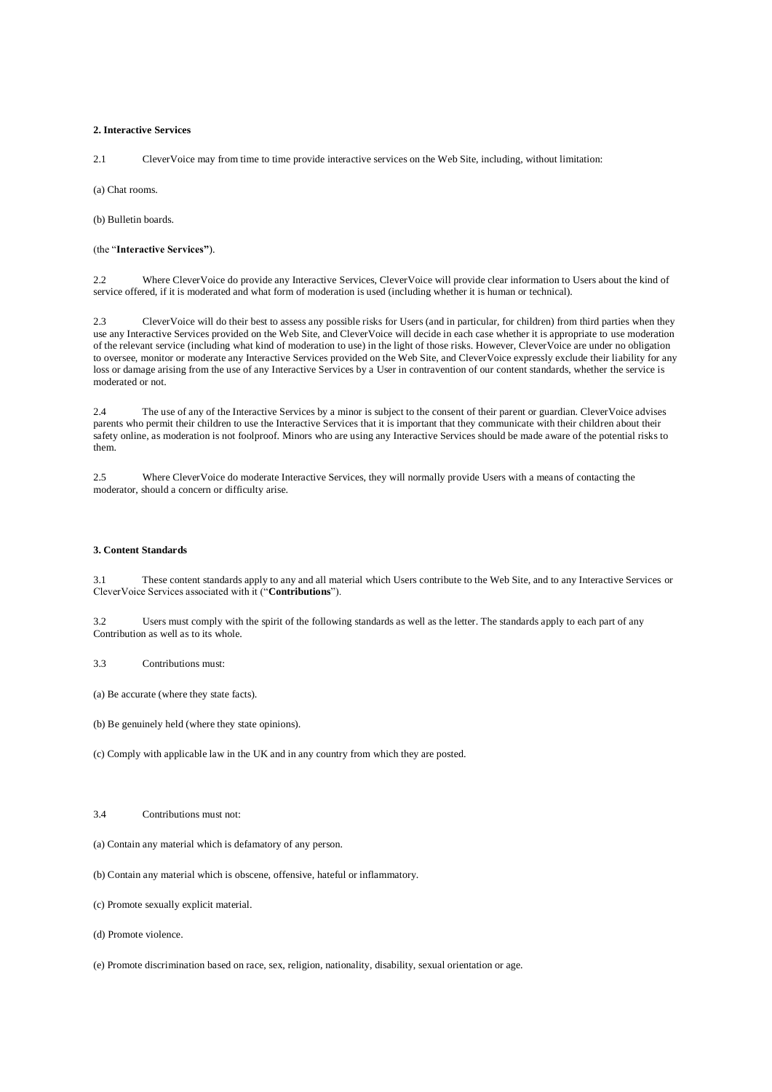#### **2. Interactive Services**

2.1 CleverVoice may from time to time provide interactive services on the Web Site, including, without limitation:

(a) Chat rooms.

(b) Bulletin boards.

(the "**Interactive Services"**).

2.2 Where CleverVoice do provide any Interactive Services, CleverVoice will provide clear information to Users about the kind of service offered, if it is moderated and what form of moderation is used (including whether it is human or technical).

2.3 CleverVoice will do their best to assess any possible risks for Users (and in particular, for children) from third parties when they use any Interactive Services provided on the Web Site, and CleverVoice will decide in each case whether it is appropriate to use moderation of the relevant service (including what kind of moderation to use) in the light of those risks. However, CleverVoice are under no obligation to oversee, monitor or moderate any Interactive Services provided on the Web Site, and CleverVoice expressly exclude their liability for any loss or damage arising from the use of any Interactive Services by a User in contravention of our content standards, whether the service is moderated or not.

2.4 The use of any of the Interactive Services by a minor is subject to the consent of their parent or guardian. CleverVoice advises parents who permit their children to use the Interactive Services that it is important that they communicate with their children about their safety online, as moderation is not foolproof. Minors who are using any Interactive Services should be made aware of the potential risks to them.

2.5 Where CleverVoice do moderate Interactive Services, they will normally provide Users with a means of contacting the moderator, should a concern or difficulty arise.

## **3. Content Standards**

3.1 These content standards apply to any and all material which Users contribute to the Web Site, and to any Interactive Services or CleverVoice Services associated with it ("**Contributions**").

3.2 Users must comply with the spirit of the following standards as well as the letter. The standards apply to each part of any Contribution as well as to its whole.

3.3 Contributions must:

(a) Be accurate (where they state facts).

(b) Be genuinely held (where they state opinions).

(c) Comply with applicable law in the UK and in any country from which they are posted.

# 3.4 Contributions must not:

(a) Contain any material which is defamatory of any person.

(b) Contain any material which is obscene, offensive, hateful or inflammatory.

(c) Promote sexually explicit material.

(d) Promote violence.

(e) Promote discrimination based on race, sex, religion, nationality, disability, sexual orientation or age.